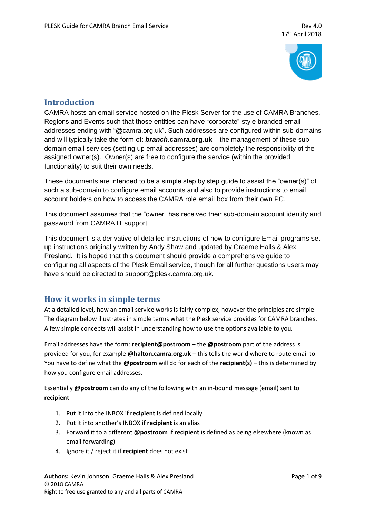

# **Introduction**

CAMRA hosts an email service hosted on the Plesk Server for the use of CAMRA Branches, Regions and Events such that those entities can have "corporate" style branded email addresses ending with "@camra.org.uk". Such addresses are configured within sub-domains and will typically take the form of: *branch***.camra.org.uk** – the management of these subdomain email services (setting up email addresses) are completely the responsibility of the assigned owner(s). Owner(s) are free to configure the service (within the provided functionality) to suit their own needs.

These documents are intended to be a simple step by step guide to assist the "owner(s)" of such a sub-domain to configure email accounts and also to provide instructions to email account holders on how to access the CAMRA role email box from their own PC.

This document assumes that the "owner" has received their sub-domain account identity and password from CAMRA IT support.

This document is a derivative of detailed instructions of how to configure Email programs set up instructions originally written by Andy Shaw and updated by Graeme Halls & Alex Presland. It is hoped that this document should provide a comprehensive guide to configuring all aspects of the Plesk Email service, though for all further questions users may have should be directed to support@plesk.camra.org.uk.

# **How it works in simple terms**

At a detailed level, how an email service works is fairly complex, however the principles are simple. The diagram below illustrates in simple terms what the Plesk service provides for CAMRA branches. A few simple concepts will assist in understanding how to use the options available to you.

Email addresses have the form: **recipient@postroom** – the **@postroom** part of the address is provided for you, for example **@halton.camra.org.uk** – this tells the world where to route email to. You have to define what the **@postroom** will do for each of the **recipient(s)** – this is determined by how you configure email addresses.

Essentially **@postroom** can do any of the following with an in-bound message (email) sent to **recipient**

- 1. Put it into the INBOX if **recipient** is defined locally
- 2. Put it into another's INBOX if **recipient** is an alias
- 3. Forward it to a different **@postroom** if **recipient** is defined as being elsewhere (known as email forwarding)
- 4. Ignore it / reject it if **recipient** does not exist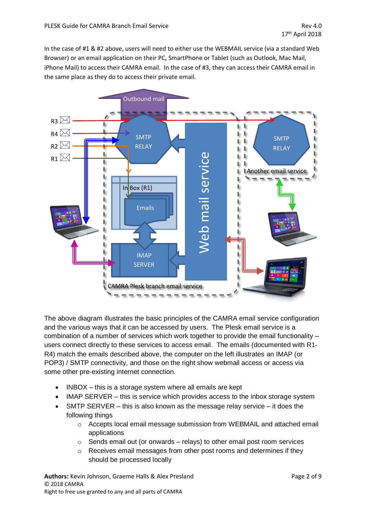In the case of #1 & #2 above, users will need to either use the WEBMAIL service (via a standard Web Browser) or an email application on their PC, SmartPhone or Tablet (such as Outlook, Mac Mail, iPhone Mail) to access their CAMRA email. In the case of #3, they can access their CAMRA email in the same place as they do to access their private email.



The above diagram illustrates the basic principles of the CAMRA email service configuration and the various ways that it can be accessed by users. The Plesk email service is a combination of a number of services which work together to provide the email functionality – users connect directly to these services to access email. The emails (documented with R1- R4) match the emails described above, the computer on the left illustrates an IMAP (or POP3) / SMTP connectivity, and those on the right show webmail access or access via some other pre-existing internet connection.

- INBOX this is a storage system where all emails are kept
- IMAP SERVER this is service which provides access to the inbox storage system
- SMTP SERVER  $-$  this is also known as the message relay service  $-$  it does the following things
	- $\circ$  Accepts local email message submission from WEBMAIL and attached email applications
	- o Sends email out (or onwards relays) to other email post room services
	- $\circ$  Receives email messages from other post rooms and determines if they should be processed locally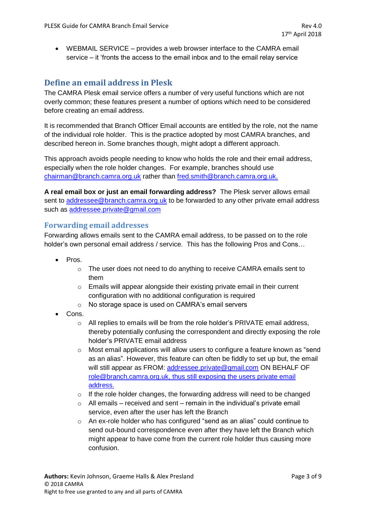• WEBMAIL SERVICE – provides a web browser interface to the CAMRA email service – it 'fronts the access to the email inbox and to the email relay service

# **Define an email address in Plesk**

The CAMRA Plesk email service offers a number of very useful functions which are not overly common; these features present a number of options which need to be considered before creating an email address.

It is recommended that Branch Officer Email accounts are entitled by the role, not the name of the individual role holder. This is the practice adopted by most CAMRA branches, and described hereon in. Some branches though, might adopt a different approach.

This approach avoids people needing to know who holds the role and their email address, especially when the role holder changes. For example, branches should use [chairman@branch.camra.org.uk](mailto:chairman@branch.camra.org.uk) rather than [fred.smith@branch.camra.org.uk.](mailto:fred.smith@branch.camra.org.uk)

**A real email box or just an email forwarding address?** The Plesk server allows email sent to [addressee@branch.camra.org.uk](mailto:addressee@branch.camra.org.uk) to be forwarded to any other private email address such as [addressee.private@gmail.com](mailto:addressee.private@gmail.com)

#### **Forwarding email addresses**

Forwarding allows emails sent to the CAMRA email address, to be passed on to the role holder's own personal email address / service. This has the following Pros and Cons…

- Pros.
	- $\circ$  The user does not need to do anything to receive CAMRA emails sent to them
	- o Emails will appear alongside their existing private email in their current configuration with no additional configuration is required
	- o No storage space is used on CAMRA's email servers
- Cons.
	- $\circ$  All replies to emails will be from the role holder's PRIVATE email address, thereby potentially confusing the correspondent and directly exposing the role holder's PRIVATE email address
	- $\circ$  Most email applications will allow users to configure a feature known as "send" as an alias". However, this feature can often be fiddly to set up but, the email will still appear as FROM: [addressee.private@gmail.com](mailto:addressee.private@gmail.com) ON BEHALF OF [role@branch.camra.org.uk,](mailto:role@branch.camra.org.uk) thus still exposing the users private email address.
	- $\circ$  If the role holder changes, the forwarding address will need to be changed
	- $\circ$  All emails received and sent remain in the individual's private email service, even after the user has left the Branch
	- $\circ$  An ex-role holder who has configured "send as an alias" could continue to send out-bound correspondence even after they have left the Branch which might appear to have come from the current role holder thus causing more confusion.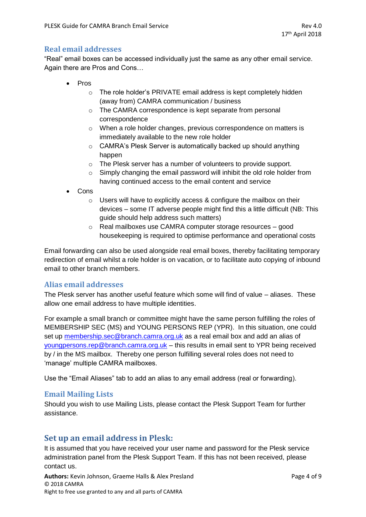### **Real email addresses**

"Real" email boxes can be accessed individually just the same as any other email service. Again there are Pros and Cons…

- Pros
	- o The role holder's PRIVATE email address is kept completely hidden (away from) CAMRA communication / business
	- o The CAMRA correspondence is kept separate from personal correspondence
	- o When a role holder changes, previous correspondence on matters is immediately available to the new role holder
	- o CAMRA's Plesk Server is automatically backed up should anything happen
	- o The Plesk server has a number of volunteers to provide support.
	- $\circ$  Simply changing the email password will inhibit the old role holder from having continued access to the email content and service
- Cons
	- o Users will have to explicitly access & configure the mailbox on their devices – some IT adverse people might find this a little difficult (NB: This guide should help address such matters)
	- o Real mailboxes use CAMRA computer storage resources good housekeeping is required to optimise performance and operational costs

Email forwarding can also be used alongside real email boxes, thereby facilitating temporary redirection of email whilst a role holder is on vacation, or to facilitate auto copying of inbound email to other branch members.

#### **Alias email addresses**

The Plesk server has another useful feature which some will find of value – aliases. These allow one email address to have multiple identities.

For example a small branch or committee might have the same person fulfilling the roles of MEMBERSHIP SEC (MS) and YOUNG PERSONS REP (YPR). In this situation, one could set up [membership.sec@branch.camra.org.uk](mailto:membership.sec@branch.camra.org.uk) as a real email box and add an alias of [youngpersons.rep@branch.camra.org.uk](mailto:youngpersons.rep@branch.camra.org.uk) – this results in email sent to YPR being received by / in the MS mailbox. Thereby one person fulfilling several roles does not need to 'manage' multiple CAMRA mailboxes.

Use the "Email Aliases" tab to add an alias to any email address (real or forwarding).

#### **Email Mailing Lists**

Should you wish to use Mailing Lists, please contact the Plesk Support Team for further assistance.

### **Set up an email address in Plesk:**

It is assumed that you have received your user name and password for the Plesk service administration panel from the Plesk Support Team. If this has not been received, please contact us.

Authors: Kevin Johnson, Graeme Halls & Alex Presland **Page 4 of 9** Page 4 of 9 © 2018 CAMRA Right to free use granted to any and all parts of CAMRA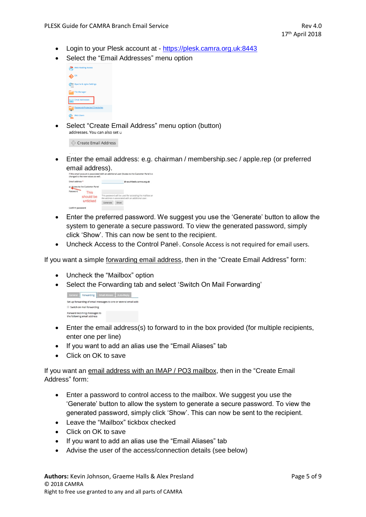- Login to your Plesk account at [https://plesk.camra.org.uk:8443](https://plesk.camra.org.uk:8443/)
- Select the "Email Addresses" menu option



Select "Create Email Address" menu option (button)<br>addresses. You can also set u

Create Email Address

• Enter the email address: e.g. chairman / membership.sec / apple.rep (or preferred email address).

| Email address * |                                 |                                                                                                               | @ southbeds.camra.org.uk |  |
|-----------------|---------------------------------|---------------------------------------------------------------------------------------------------------------|--------------------------|--|
|                 | W. Access to the Customer Panel |                                                                                                               |                          |  |
| Password        | <b>This</b>                     |                                                                                                               |                          |  |
|                 | should be                       | This password will be used for accessing the mailbox an<br>the address is associated with an additional user. |                          |  |
|                 | unticked                        | Generate                                                                                                      | Show                     |  |

- Enter the preferred password. We suggest you use the 'Generate' button to allow the system to generate a secure password. To view the generated password, simply click 'Show'. This can now be sent to the recipient.
- Uncheck Access to the Control Panel Console Access is not required for email users.

If you want a simple forwarding email address, then in the "Create Email Address" form:

- Uncheck the "Mailbox" option
- Select the Forwarding tab and select 'Switch On Mail Forwarding'

```
General Forwarding Email Aliases Auto-Reply
Set up forwarding of email messages to one or several email addi
Switch on mail forwarding
Forward incoming messages to<br>the following email address
```
- Enter the email address(s) to forward to in the box provided (for multiple recipients, enter one per line)
- If you want to add an alias use the "Email Aliases" tab
- Click on OK to save

If you want an email address with an IMAP / PO3 mailbox, then in the "Create Email Address" form:

- Enter a password to control access to the mailbox. We suggest you use the 'Generate' button to allow the system to generate a secure password. To view the generated password, simply click 'Show'. This can now be sent to the recipient.
- Leave the "Mailbox" tickbox checked
- Click on OK to save
- If you want to add an alias use the "Email Aliases" tab
- Advise the user of the access/connection details (see below)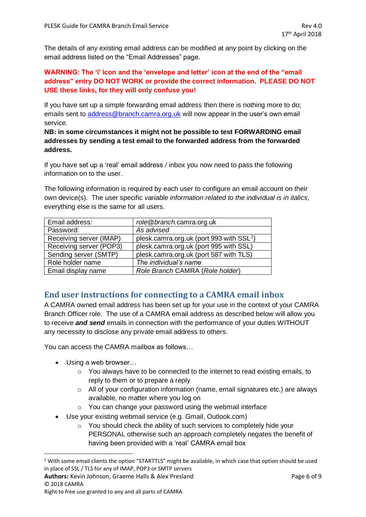The details of any existing email address can be modified at any point by clicking on the email address listed on the "Email Addresses" page.

#### **WARNING: The 'i' icon and the 'envelope and letter' icon at the end of the "email address" entry DO NOT WORK or provide the correct information. PLEASE DO NOT USE these links, for they will only confuse you!**

If you have set up a simple forwarding email address then there is nothing more to do; emails sent to [address@branch.camra.org.uk](mailto:address@branch.camra.org.uk) will now appear in the user's own email service.

**NB: in some circumstances it might not be possible to test FORWARDING email addresses by sending a test email to the forwarded address from the forwarded address.**

If you have set up a 'real' email address / inbox you now need to pass the following information on to the user.

The following information is required by each user to configure an email account on their own device(s). The user specific *variable information related to the individual is in italics*, everything else is the same for all users.

| Email address:          | role@branch.camra.org.uk                             |
|-------------------------|------------------------------------------------------|
| Password:               | As advised                                           |
| Receiving server (IMAP) | plesk.camra.org.uk (port 993 with SSL <sup>2</sup> ) |
| Receiving server (POP3) | plesk.camra.org.uk (port 995 with SSL)               |
| Sending server (SMTP)   | plesk.camra.org.uk (port 587 with TLS)               |
| Role holder name        | The individual's name                                |
| Email display name      | Role Branch CAMRA (Role holder)                      |

# **End user instructions for connecting to a CAMRA email inbox**

A CAMRA owned email address has been set up for your use in the context of your CAMRA Branch Officer role. The use of a CAMRA email address as described below will allow you to receive *and send* emails in connection with the performance of your duties WITHOUT any necessity to disclose any private email address to others.

You can access the CAMRA mailbox as follows…

• Using a web browser...

.

- $\circ$  You always have to be connected to the internet to read existing emails, to reply to them or to prepare a reply
- $\circ$  All of your configuration information (name, email signatures etc.) are always available, no matter where you log on
- o You can change your password using the webmail interface
- Use your existing webmail service (e.g. Gmail, Outlook.com)
	- o You should check the ability of such services to completely hide your PERSONAL otherwise such an approach completely negates the benefit of having been provided with a 'real' CAMRA email box

<sup>&</sup>lt;sup>2</sup> With some email clients the option "STARTTLS" might be available, in which case that option should be used in place of SSL / TLS for any of IMAP, POP3 or SMTP servers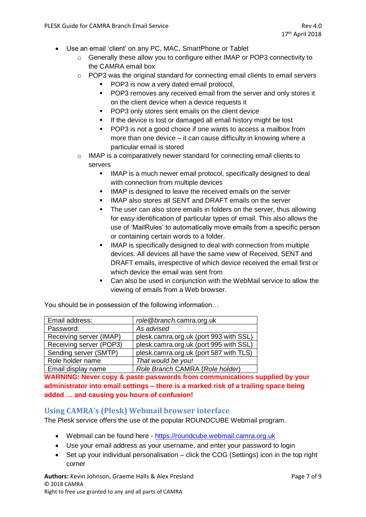- Use an email 'client' on any PC, MAC, SmartPhone or Tablet
	- o Generally these allow you to configure either IMAP or POP3 connectivity to the CAMRA email box
	- $\circ$  POP3 was the original standard for connecting email clients to email servers
		- POP3 is now a very dated email protocol.
		- POP3 removes any received email from the server and only stores it on the client device when a device requests it
		- POP3 only stores sent emails on the client device
		- **.** If the device is lost or damaged all email history might be lost
		- POP3 is not a good choice if one wants to access a mailbox from more than one device – it can cause difficulty in knowing where a particular email is stored
	- o IMAP is a comparatively newer standard for connecting email clients to servers
		- IMAP is a much newer email protocol, specifically designed to deal with connection from multiple devices
		- IMAP is designed to leave the received emails on the server
		- IMAP also stores all SENT and DRAFT emails on the server
		- The user can also store emails in folders on the server, thus allowing for easy identification of particular types of email. This also allows the use of 'MailRules' to automatically move emails from a specific person or containing certain words to a folder.
		- IMAP is specifically designed to deal with connection from multiple devices. All devices all have the same view of Received, SENT and DRAFT emails, irrespective of which device received the email first or which device the email was sent from
		- Can also be used in conjunction with the WebMail service to allow the viewing of emails from a Web browser.

You should be in possession of the following information…

| Email address:          | role@branch.camra.org.uk               |
|-------------------------|----------------------------------------|
| Password:               | As advised                             |
| Receiving server (IMAP) | plesk.camra.org.uk (port 993 with SSL) |
| Receiving server (POP3) | plesk.camra.org.uk (port 995 with SSL) |
| Sending server (SMTP)   | plesk.camra.org.uk (port 587 with TLS) |
| Role holder name        | That would be you!                     |
| Email display name      | Role Branch CAMRA (Role holder)        |

**WARNING: Never copy & paste passwords from communications supplied by your administrator into email settings – there is a marked risk of a trailing space being added … and causing you hours of confusion!**

#### **Using CAMRA's (Plesk) Webmail browser interface**

The Plesk service offers the use of the popular ROUNDCUBE Webmail program.

- Webmail can be found here [https://roundcube.webmail.camra.org.uk](https://roundcube.webmail.camra.org.uk/)
- Use your email address as your username, and enter your password to login
- Set up your individual personalisation click the COG (Settings) icon in the top right corner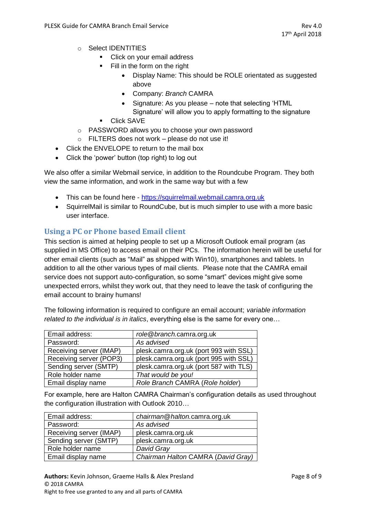- o Select IDENTITIES
	- Click on your email address
	- Fill in the form on the right
		- Display Name: This should be ROLE orientated as suggested above
		- Company: *Branch* CAMRA
		- Signature: As you please note that selecting 'HTML
		- Signature' will allow you to apply formatting to the signature
	- Click SAVE
- o PASSWORD allows you to choose your own password
- o FILTERS does not work please do not use it!
- Click the ENVELOPE to return to the mail box
- Click the 'power' button (top right) to log out

We also offer a similar Webmail service, in addition to the Roundcube Program. They both view the same information, and work in the same way but with a few

- This can be found here [https://squirrelmail.webmail.camra.org.uk](https://squirrelmail.webmail.camra.org.uk/)
- SquirrelMail is similar to RoundCube, but is much simpler to use with a more basic user interface.

### **Using a PC or Phone based Email client**

This section is aimed at helping people to set up a Microsoft Outlook email program (as supplied in MS Office) to access email on their PCs. The information herein will be useful for other email clients (such as "Mail" as shipped with Win10), smartphones and tablets. In addition to all the other various types of mail clients. Please note that the CAMRA email service does not support auto-configuration, so some "smart" devices might give some unexpected errors, whilst they work out, that they need to leave the task of configuring the email account to brainy humans!

The following information is required to configure an email account; *variable information related to the individual is in italics*, everything else is the same for every one…

| Email address:          | role@branch.camra.org.uk               |
|-------------------------|----------------------------------------|
| Password:               | As advised                             |
| Receiving server (IMAP) | plesk.camra.org.uk (port 993 with SSL) |
| Receiving server (POP3) | plesk.camra.org.uk (port 995 with SSL) |
| Sending server (SMTP)   | plesk.camra.org.uk (port 587 with TLS) |
| Role holder name        | That would be you!                     |
| Email display name      | Role Branch CAMRA (Role holder)        |

For example, here are Halton CAMRA Chairman's configuration details as used throughout the configuration illustration with Outlook 2010…

| Email address:          | chairman@halton.camra.org.uk       |
|-------------------------|------------------------------------|
| Password:               | As advised                         |
| Receiving server (IMAP) | plesk.camra.org.uk                 |
| Sending server (SMTP)   | plesk.camra.org.uk                 |
| Role holder name        | David Gray                         |
| Email display name      | Chairman Halton CAMRA (David Gray) |